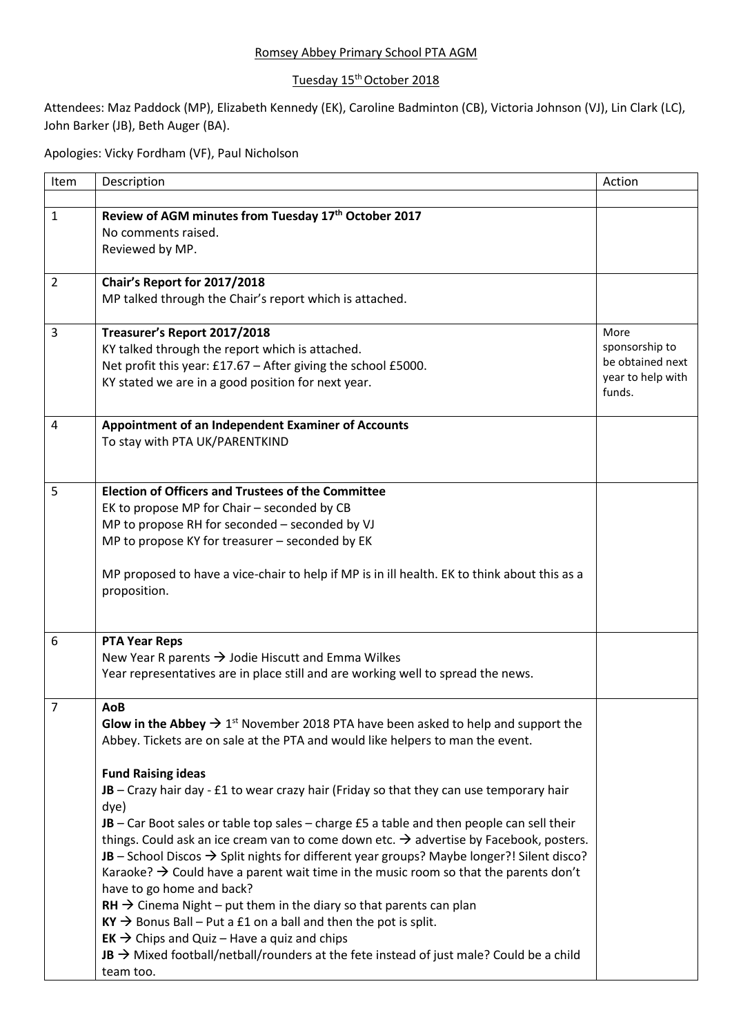## Romsey Abbey Primary School PTA AGM

## Tuesday 15<sup>th</sup> October 2018

Attendees: Maz Paddock (MP), Elizabeth Kennedy (EK), Caroline Badminton (CB), Victoria Johnson (VJ), Lin Clark (LC), John Barker (JB), Beth Auger (BA).

Apologies: Vicky Fordham (VF), Paul Nicholson

| Item           | Description                                                                                                        | Action            |
|----------------|--------------------------------------------------------------------------------------------------------------------|-------------------|
|                |                                                                                                                    |                   |
| 1              | Review of AGM minutes from Tuesday 17th October 2017                                                               |                   |
|                | No comments raised.                                                                                                |                   |
|                | Reviewed by MP.                                                                                                    |                   |
| $\overline{2}$ | Chair's Report for 2017/2018                                                                                       |                   |
|                | MP talked through the Chair's report which is attached.                                                            |                   |
|                |                                                                                                                    | More              |
| 3              | Treasurer's Report 2017/2018<br>KY talked through the report which is attached.                                    | sponsorship to    |
|                | Net profit this year: £17.67 - After giving the school £5000.                                                      | be obtained next  |
|                | KY stated we are in a good position for next year.                                                                 | year to help with |
|                |                                                                                                                    | funds.            |
| 4              | Appointment of an Independent Examiner of Accounts                                                                 |                   |
|                | To stay with PTA UK/PARENTKIND                                                                                     |                   |
|                |                                                                                                                    |                   |
|                |                                                                                                                    |                   |
| 5              | <b>Election of Officers and Trustees of the Committee</b>                                                          |                   |
|                | EK to propose MP for Chair - seconded by CB                                                                        |                   |
|                | MP to propose RH for seconded - seconded by VJ                                                                     |                   |
|                | MP to propose KY for treasurer - seconded by EK                                                                    |                   |
|                | MP proposed to have a vice-chair to help if MP is in ill health. EK to think about this as a                       |                   |
|                | proposition.                                                                                                       |                   |
|                |                                                                                                                    |                   |
| 6              | <b>PTA Year Reps</b>                                                                                               |                   |
|                | New Year R parents $\rightarrow$ Jodie Hiscutt and Emma Wilkes                                                     |                   |
|                | Year representatives are in place still and are working well to spread the news.                                   |                   |
|                |                                                                                                                    |                   |
| 7              | AoB                                                                                                                |                   |
|                | <b>Glow in the Abbey <math>\rightarrow 1^{st}</math></b> November 2018 PTA have been asked to help and support the |                   |
|                | Abbey. Tickets are on sale at the PTA and would like helpers to man the event.                                     |                   |
|                | <b>Fund Raising ideas</b>                                                                                          |                   |
|                | $JB - Crazy$ hair day - £1 to wear crazy hair (Friday so that they can use temporary hair                          |                   |
|                | dye)                                                                                                               |                   |
|                | JB - Car Boot sales or table top sales - charge £5 a table and then people can sell their                          |                   |
|                | things. Could ask an ice cream van to come down etc. $\rightarrow$ advertise by Facebook, posters.                 |                   |
|                | JB - School Discos $\rightarrow$ Split nights for different year groups? Maybe longer?! Silent disco?              |                   |
|                | Karaoke? $\rightarrow$ Could have a parent wait time in the music room so that the parents don't                   |                   |
|                | have to go home and back?                                                                                          |                   |
|                | $RH \rightarrow$ Cinema Night – put them in the diary so that parents can plan                                     |                   |
|                | $KY \rightarrow$ Bonus Ball – Put a £1 on a ball and then the pot is split.                                        |                   |
|                | $EK \rightarrow$ Chips and Quiz – Have a quiz and chips                                                            |                   |
|                | JB $\rightarrow$ Mixed football/netball/rounders at the fete instead of just male? Could be a child                |                   |
|                | team too.                                                                                                          |                   |